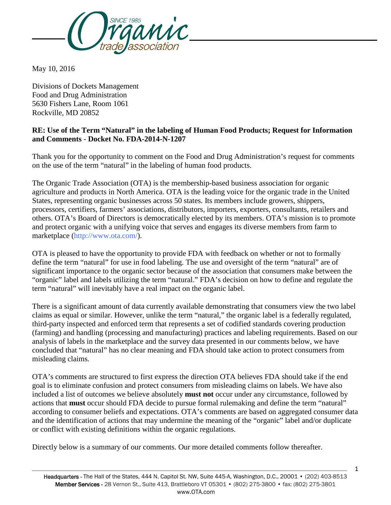

May 10, 2016

Divisions of Dockets Management Food and Drug Administration 5630 Fishers Lane, Room 1061 Rockville, MD 20852

### **RE: Use of the Term "Natural" in the labeling of Human Food Products; Request for Information and Comments** - **Docket No. FDA-2014-N-1207**

Thank you for the opportunity to comment on the Food and Drug Administration's request for comments on the use of the term "natural" in the labeling of human food products.

The Organic Trade Association (OTA) is the membership-based business association for organic agriculture and products in North America. OTA is the leading voice for the organic trade in the United States, representing organic businesses across 50 states. Its members include growers, shippers, processors, certifiers, farmers' associations, distributors, importers, exporters, consultants, retailers and others. OTA's Board of Directors is democratically elected by its members. OTA's mission is to promote and protect organic with a unifying voice that serves and engages its diverse members from farm to marketplace [\(http://www.ota.com/\)](http://www.ota.com/).

OTA is pleased to have the opportunity to provide FDA with feedback on whether or not to formally define the term "natural" for use in food labeling. The use and oversight of the term "natural" are of significant importance to the organic sector because of the association that consumers make between the "organic" label and labels utilizing the term "natural." FDA's decision on how to define and regulate the term "natural" will inevitably have a real impact on the organic label.

There is a significant amount of data currently available demonstrating that consumers view the two label claims as equal or similar. However, unlike the term "natural," the organic label is a federally regulated, third-party inspected and enforced term that represents a set of codified standards covering production (farming) and handling (processing and manufacturing) practices and labeling requirements. Based on our analysis of labels in the marketplace and the survey data presented in our comments below, we have concluded that "natural" has no clear meaning and FDA should take action to protect consumers from misleading claims.

OTA's comments are structured to first express the direction OTA believes FDA should take if the end goal is to eliminate confusion and protect consumers from misleading claims on labels. We have also included a list of outcomes we believe absolutely **must not** occur under any circumstance, followed by actions that **must** occur should FDA decide to pursue formal rulemaking and define the term "natural" according to consumer beliefs and expectations. OTA's comments are based on aggregated consumer data and the identification of actions that may undermine the meaning of the "organic" label and/or duplicate or conflict with existing definitions within the organic regulations.

Directly below is a summary of our comments. Our more detailed comments follow thereafter.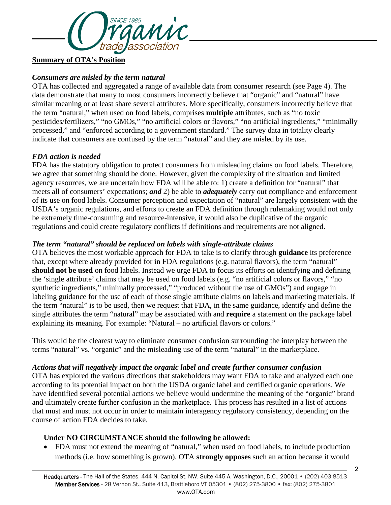

**Summary of OTA's Position**

### *Consumers are misled by the term natural*

OTA has collected and aggregated a range of available data from consumer research (see Page 4). The data demonstrate that many to most consumers incorrectly believe that "organic" and "natural" have similar meaning or at least share several attributes. More specifically, consumers incorrectly believe that the term "natural," when used on food labels, comprises **multiple** attributes, such as "no toxic pesticides/fertilizers," "no GMOs," "no artificial colors or flavors," "no artificial ingredients," "minimally processed," and "enforced according to a government standard." The survey data in totality clearly indicate that consumers are confused by the term "natural" and they are misled by its use.

#### *FDA action is needed*

FDA has the statutory obligation to protect consumers from misleading claims on food labels. Therefore, we agree that something should be done. However, given the complexity of the situation and limited agency resources, we are uncertain how FDA will be able to: 1) create a definition for "natural" that meets all of consumers' expectations; *and* 2) be able to *adequately* carry out compliance and enforcement of its use on food labels. Consumer perception and expectation of "natural" are largely consistent with the USDA's organic regulations, and efforts to create an FDA definition through rulemaking would not only be extremely time-consuming and resource-intensive, it would also be duplicative of the organic regulations and could create regulatory conflicts if definitions and requirements are not aligned.

#### *The term "natural" should be replaced on labels with single-attribute claims*

OTA believes the most workable approach for FDA to take is to clarify through **guidance** its preference that, except where already provided for in FDA regulations (e.g. natural flavors), the term "natural" **should not be used** on food labels. Instead we urge FDA to focus its efforts on identifying and defining the 'single attribute' claims that may be used on food labels (e.g. "no artificial colors or flavors," "no synthetic ingredients," minimally processed," "produced without the use of GMOs") and engage in labeling guidance for the use of each of those single attribute claims on labels and marketing materials. If the term "natural" is to be used, then we request that FDA, in the same guidance, identify and define the single attributes the term "natural" may be associated with and **require** a statement on the package label explaining its meaning. For example: "Natural – no artificial flavors or colors."

This would be the clearest way to eliminate consumer confusion surrounding the interplay between the terms "natural" vs. "organic" and the misleading use of the term "natural" in the marketplace.

#### *Actions that will negatively impact the organic label and create further consumer confusion*

OTA has explored the various directions that stakeholders may want FDA to take and analyzed each one according to its potential impact on both the USDA organic label and certified organic operations. We have identified several potential actions we believe would undermine the meaning of the "organic" brand and ultimately create further confusion in the marketplace. This process has resulted in a list of actions that must and must not occur in order to maintain interagency regulatory consistency, depending on the course of action FDA decides to take.

## **Under NO CIRCUMSTANCE should the following be allowed:**

• FDA must not extend the meaning of "natural," when used on food labels, to include production methods (i.e. how something is grown). OTA **strongly opposes** such an action because it would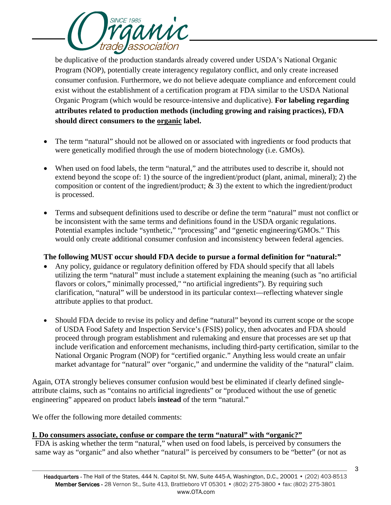

be duplicative of the production standards already covered under USDA's National Organic Program (NOP), potentially create interagency regulatory conflict, and only create increased consumer confusion. Furthermore, we do not believe adequate compliance and enforcement could exist without the establishment of a certification program at FDA similar to the USDA National Organic Program (which would be resource-intensive and duplicative). **For labeling regarding attributes related to production methods (including growing and raising practices), FDA should direct consumers to the organic label.**

- The term "natural" should not be allowed on or associated with ingredients or food products that were genetically modified through the use of modern biotechnology (i.e. GMOs).
- When used on food labels, the term "natural," and the attributes used to describe it, should not extend beyond the scope of: 1) the source of the ingredient/product (plant, animal, mineral); 2) the composition or content of the ingredient/product; & 3) the extent to which the ingredient/product is processed.
- Terms and subsequent definitions used to describe or define the term "natural" must not conflict or be inconsistent with the same terms and definitions found in the USDA organic regulations. Potential examples include "synthetic," "processing" and "genetic engineering/GMOs." This would only create additional consumer confusion and inconsistency between federal agencies.

## **The following MUST occur should FDA decide to pursue a formal definition for "natural:"**

- Any policy, guidance or regulatory definition offered by FDA should specify that all labels utilizing the term "natural" must include a statement explaining the meaning (such as "no artificial flavors or colors," minimally processed," "no artificial ingredients"). By requiring such clarification, "natural" will be understood in its particular context—reflecting whatever single attribute applies to that product.
- Should FDA decide to revise its policy and define "natural" beyond its current scope or the scope of USDA Food Safety and Inspection Service's (FSIS) policy, then advocates and FDA should proceed through program establishment and rulemaking and ensure that processes are set up that include verification and enforcement mechanisms, including third-party certification, similar to the National Organic Program (NOP) for "certified organic." Anything less would create an unfair market advantage for "natural" over "organic," and undermine the validity of the "natural" claim.

Again, OTA strongly believes consumer confusion would best be eliminated if clearly defined singleattribute claims, such as "contains no artificial ingredients" or "produced without the use of genetic engineering" appeared on product labels **instead** of the term "natural."

We offer the following more detailed comments:

## **I. Do consumers associate, confuse or compare the term "natural" with "organic?"**

FDA is asking whether the term "natural," when used on food labels, is perceived by consumers the same way as "organic" and also whether "natural" is perceived by consumers to be "better" (or not as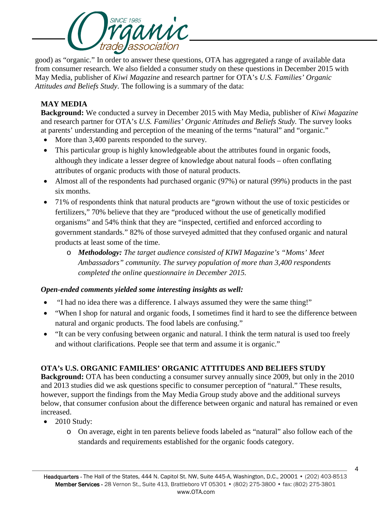

good) as "organic." In order to answer these questions, OTA has aggregated a range of available data from consumer research. We also fielded a consumer study on these questions in December 2015 with May Media, publisher of *Kiwi Magazine* and research partner for OTA's *U.S. Families' Organic Attitudes and Beliefs Study*. The following is a summary of the data:

## **MAY MEDIA**

**Background:** We conducted a survey in December 2015 with May Media, publisher of *Kiwi Magazine* and research partner for OTA's *U.S. Families' Organic Attitudes and Beliefs Study.* The survey looks at parents' understanding and perception of the meaning of the terms "natural" and "organic."

- More than 3,400 parents responded to the survey.
- This particular group is highly knowledgeable about the attributes found in organic foods, although they indicate a lesser degree of knowledge about natural foods – often conflating attributes of organic products with those of natural products.
- Almost all of the respondents had purchased organic (97%) or natural (99%) products in the past six months.
- 71% of respondents think that natural products are "grown without the use of toxic pesticides or fertilizers," 70% believe that they are "produced without the use of genetically modified organisms" and 54% think that they are "inspected, certified and enforced according to government standards." 82% of those surveyed admitted that they confused organic and natural products at least some of the time.
	- o *Methodology: The target audience consisted of KIWI Magazine's "Moms' Meet Ambassadors" community. The survey population of more than 3,400 respondents completed the online questionnaire in December 2015.*

## *Open-ended comments yielded some interesting insights as well:*

- "I had no idea there was a difference. I always assumed they were the same thing!"
- "When I shop for natural and organic foods, I sometimes find it hard to see the difference between natural and organic products. The food labels are confusing."
- "It can be very confusing between organic and natural. I think the term natural is used too freely and without clarifications. People see that term and assume it is organic."

## **OTA's U.S. ORGANIC FAMILIES' ORGANIC ATTITUDES AND BELIEFS STUDY**

**Background:** OTA has been conducting a consumer survey annually since 2009, but only in the 2010 and 2013 studies did we ask questions specific to consumer perception of "natural." These results, however, support the findings from the May Media Group study above and the additional surveys below, that consumer confusion about the difference between organic and natural has remained or even increased.

- 2010 Study:
	- o On average, eight in ten parents believe foods labeled as "natural" also follow each of the standards and requirements established for the organic foods category.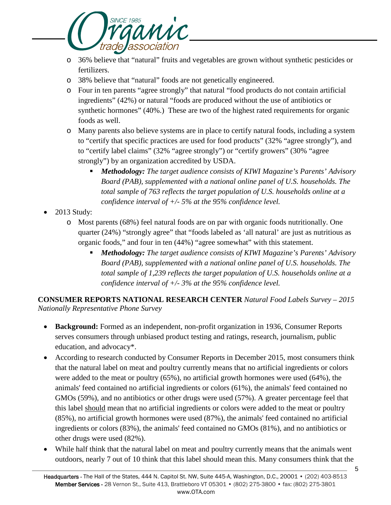

- o 36% believe that "natural" fruits and vegetables are grown without synthetic pesticides or fertilizers.
- o 38% believe that "natural" foods are not genetically engineered.
- o Four in ten parents "agree strongly" that natural "food products do not contain artificial ingredients" (42%) or natural "foods are produced without the use of antibiotics or synthetic hormones" (40%.) These are two of the highest rated requirements for organic foods as well.
- o Many parents also believe systems are in place to certify natural foods, including a system to "certify that specific practices are used for food products" (32% "agree strongly"), and to "certify label claims" (32% "agree strongly") or "certify growers" (30% "agree strongly") by an organization accredited by USDA.
	- *Methodology: The target audience consists of KIWI Magazine's Parents' Advisory Board (PAB), supplemented with a national online panel of U.S. households. The total sample of 763 reflects the target population of U.S. households online at a confidence interval of +/- 5% at the 95% confidence level.*
- 2013 Study:
	- o Most parents (68%) feel natural foods are on par with organic foods nutritionally. One quarter (24%) "strongly agree" that "foods labeled as 'all natural' are just as nutritious as organic foods," and four in ten (44%) "agree somewhat" with this statement.
		- *Methodology: The target audience consists of KIWI Magazine's Parents' Advisory Board (PAB), supplemented with a national online panel of U.S. households. The total sample of 1,239 reflects the target population of U.S. households online at a confidence interval of +/- 3% at the 95% confidence level.*

**CONSUMER REPORTS NATIONAL RESEARCH CENTER** *Natural Food Labels Survey – 2015 Nationally Representative Phone Survey*

- **Background:** Formed as an independent, non-profit organization in 1936, Consumer Reports serves consumers through unbiased product testing and ratings, research, journalism, public education, and advocacy\*.
- According to research conducted by Consumer Reports in December 2015, most consumers think that the natural label on meat and poultry currently means that no artificial ingredients or colors were added to the meat or poultry (65%), no artificial growth hormones were used (64%), the animals' feed contained no artificial ingredients or colors (61%), the animals' feed contained no GMOs (59%), and no antibiotics or other drugs were used (57%). A greater percentage feel that this label should mean that no artificial ingredients or colors were added to the meat or poultry (85%), no artificial growth hormones were used (87%), the animals' feed contained no artificial ingredients or colors (83%), the animals' feed contained no GMOs (81%), and no antibiotics or other drugs were used (82%).
- While half think that the natural label on meat and poultry currently means that the animals went outdoors, nearly 7 out of 10 think that this label should mean this. Many consumers think that the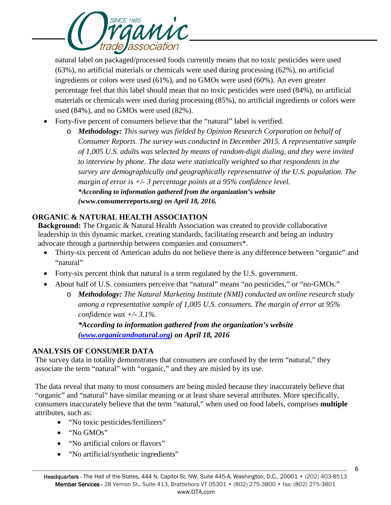

natural label on packaged/processed foods currently means that no toxic pesticides were used (63%), no artificial materials or chemicals were used during processing (62%), no artificial ingredients or colors were used (61%), and no GMOs were used (60%). An even greater percentage feel that this label should mean that no toxic pesticides were used (84%), no artificial materials or chemicals were used during processing (85%), no artificial ingredients or colors were used (84%), and no GMOs were used (82%).

- Forty-five percent of consumers believe that the "natural" label is verified.
	- o *Methodology: This survey was fielded by Opinion Research Corporation on behalf of Consumer Reports. The survey was conducted in December 2015. A representative sample of 1,005 U.S. adults was selected by means of random-digit dialing, and they were invited to interview by phone. The data were statistically weighted so that respondents in the survey are demographically and geographically representative of the U.S. population. The margin of error is +/- 3 percentage points at a 95% confidence level. \*According to information gathered from the organization's website (***[www.consumerreports.org](http://www.consumerreports.org/)***) on April 18, 2016.*

## **ORGANIC & NATURAL HEALTH ASSOCIATION**

**Background:** The Organic & Natural Health Association was created to provide collaborative leadership in this dynamic market, creating standards, facilitating research and being an industry advocate through a partnership between companies and consumers\*.

- Thirty-six percent of American adults do not believe there is any difference between "organic" and "natural"
- Forty-six percent think that natural is a term regulated by the U.S. government.
- About half of U.S. consumers perceive that "natural" means "no pesticides," or "no-GMOs."
	- o *Methodology: The Natural Marketing Institute (NMI) conducted an online research study among a representative sample of 1,005 U.S. consumers. The margin of error at 95% confidence was +/- 3.1%.*

*\*According to information gathered from the organization's website [\(www.organicandnatural.org\)](http://www.organicandnatural.org/) on April 18, 2016*

## **ANALYSIS OF CONSUMER DATA**

The survey data in totality demonstrates that consumers are confused by the term "natural," they associate the term "natural" with "organic," and they are misled by its use.

The data reveal that many to most consumers are being misled because they inaccurately believe that "organic" and "natural" have similar meaning or at least share several attributes. More specifically, consumers inaccurately believe that the term "natural," when used on food labels, comprises **multiple** attributes, such as:

- "No toxic pesticides/fertilizers"
- "No GMOs"
- "No artificial colors or flavors"
- "No artificial/synthetic ingredients"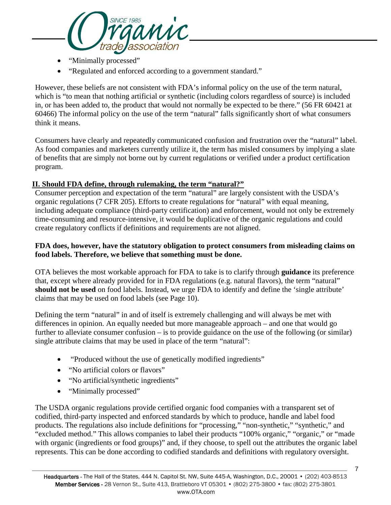

- "Minimally processed"
- "Regulated and enforced according to a government standard."

However, these beliefs are not consistent with FDA's informal policy on the use of the term natural, which is "to mean that nothing artificial or synthetic (including colors regardless of source) is included in, or has been added to, the product that would not normally be expected to be there." (56 FR 60421 at 60466) The informal policy on the use of the term "natural" falls significantly short of what consumers think it means.

Consumers have clearly and repeatedly communicated confusion and frustration over the "natural" label. As food companies and marketers currently utilize it, the term has misled consumers by implying a slate of benefits that are simply not borne out by current regulations or verified under a product certification program.

#### **II. Should FDA define, through rulemaking, the term "natural?"**

Consumer perception and expectation of the term "natural" are largely consistent with the USDA's organic regulations (7 CFR 205). Efforts to create regulations for "natural" with equal meaning, including adequate compliance (third-party certification) and enforcement, would not only be extremely time-consuming and resource-intensive, it would be duplicative of the organic regulations and could create regulatory conflicts if definitions and requirements are not aligned.

### **FDA does, however, have the statutory obligation to protect consumers from misleading claims on food labels. Therefore, we believe that something must be done.**

OTA believes the most workable approach for FDA to take is to clarify through **guidance** its preference that, except where already provided for in FDA regulations (e.g. natural flavors), the term "natural" **should not be used** on food labels. Instead, we urge FDA to identify and define the 'single attribute' claims that may be used on food labels (see Page 10).

Defining the term "natural" in and of itself is extremely challenging and will always be met with differences in opinion. An equally needed but more manageable approach – and one that would go further to alleviate consumer confusion – is to provide guidance on the use of the following (or similar) single attribute claims that may be used in place of the term "natural":

- "Produced without the use of genetically modified ingredients"
- "No artificial colors or flavors"
- "No artificial/synthetic ingredients"
- "Minimally processed"

The USDA organic regulations provide certified organic food companies with a transparent set of codified, third-party inspected and enforced standards by which to produce, handle and label food products. The regulations also include definitions for "processing," "non-synthetic," "synthetic," and "excluded method." This allows companies to label their products "100% organic," "organic," or "made with organic (ingredients or food groups)" and, if they choose, to spell out the attributes the organic label represents. This can be done according to codified standards and definitions with regulatory oversight.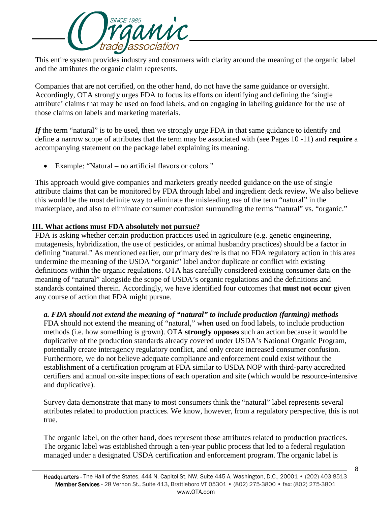

This entire system provides industry and consumers with clarity around the meaning of the organic label and the attributes the organic claim represents.

Companies that are not certified, on the other hand, do not have the same guidance or oversight. Accordingly, OTA strongly urges FDA to focus its efforts on identifying and defining the 'single attribute' claims that may be used on food labels, and on engaging in labeling guidance for the use of those claims on labels and marketing materials.

*If* the term "natural" is to be used, then we strongly urge FDA in that same guidance to identify and define a narrow scope of attributes that the term may be associated with (see Pages 10 -11) and **require** a accompanying statement on the package label explaining its meaning.

• Example: "Natural – no artificial flavors or colors."

This approach would give companies and marketers greatly needed guidance on the use of single attribute claims that can be monitored by FDA through label and ingredient deck review. We also believe this would be the most definite way to eliminate the misleading use of the term "natural" in the marketplace, and also to eliminate consumer confusion surrounding the terms "natural" vs. "organic."

## **III. What actions must FDA absolutely not pursue?**

FDA is asking whether certain production practices used in agriculture (e.g. genetic engineering, mutagenesis, hybridization, the use of pesticides, or animal husbandry practices) should be a factor in defining "natural." As mentioned earlier, our primary desire is that no FDA regulatory action in this area undermine the meaning of the USDA "organic" label and/or duplicate or conflict with existing definitions within the organic regulations. OTA has carefully considered existing consumer data on the meaning of "natural" alongside the scope of USDA's organic regulations and the definitions and standards contained therein. Accordingly, we have identified four outcomes that **must not occur** given any course of action that FDA might pursue.

## *a. FDA should not extend the meaning of "natural" to include production (farming) methods*

FDA should not extend the meaning of "natural," when used on food labels, to include production methods (i.e. how something is grown). OTA **strongly opposes** such an action because it would be duplicative of the production standards already covered under USDA's National Organic Program, potentially create interagency regulatory conflict, and only create increased consumer confusion. Furthermore, we do not believe adequate compliance and enforcement could exist without the establishment of a certification program at FDA similar to USDA NOP with third-party accredited certifiers and annual on-site inspections of each operation and site (which would be resource-intensive and duplicative).

Survey data demonstrate that many to most consumers think the "natural" label represents several attributes related to production practices. We know, however, from a regulatory perspective, this is not true.

The organic label, on the other hand, does represent those attributes related to production practices. The organic label was established through a ten-year public process that led to a federal regulation managed under a designated USDA certification and enforcement program. The organic label is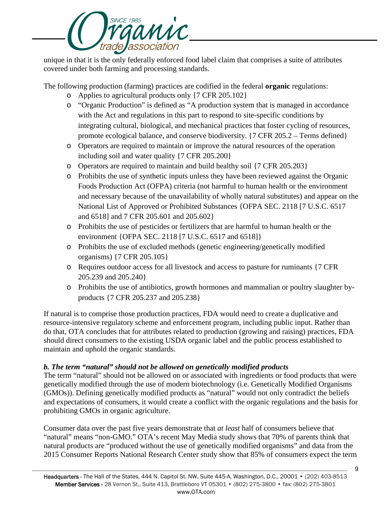

unique in that it is the only federally enforced food label claim that comprises a suite of attributes covered under both farming and processing standards.

The following production (farming) practices are codified in the federal **organic** regulations:

- o Applies to agricultural products only {7 CFR 205.102}
- o "Organic Production" is defined as "A production system that is managed in accordance with the Act and regulations in this part to respond to site-specific conditions by integrating cultural, biological, and mechanical practices that foster cycling of resources, promote ecological balance, and conserve biodiversity. {7 CFR 205.2 – Terms defined}
- o Operators are required to maintain or improve the natural resources of the operation including soil and water quality {7 CFR 205.200}
- o Operators are required to maintain and build healthy soil {7 CFR 205.203}
- o Prohibits the use of synthetic inputs unless they have been reviewed against the Organic Foods Production Act (OFPA) criteria (not harmful to human health or the environment and necessary because of the unavailability of wholly natural substitutes) and appear on the National List of Approved or Prohibited Substances {OFPA SEC. 2118 [7 U.S.C. 6517 and 6518] and 7 CFR 205.601 and 205.602}
- o Prohibits the use of pesticides or fertilizers that are harmful to human health or the environment {OFPA SEC. 2118 [7 U.S.C. 6517 and 6518]}
- o Prohibits the use of excluded methods (genetic engineering/genetically modified organisms) {7 CFR 205.105}
- o Requires outdoor access for all livestock and access to pasture for ruminants {7 CFR 205.239 and 205.240}
- o Prohibits the use of antibiotics, growth hormones and mammalian or poultry slaughter byproducts {7 CFR 205.237 and 205.238}

If natural is to comprise those production practices, FDA would need to create a duplicative and resource-intensive regulatory scheme and enforcement program, including public input. Rather than do that, OTA concludes that for attributes related to production (growing and raising) practices, FDA should direct consumers to the existing USDA organic label and the public process established to maintain and uphold the organic standards.

# *b. The term "natural" should not be allowed on genetically modified products*

The term "natural" should not be allowed on or associated with ingredients or food products that were genetically modified through the use of modern biotechnology (i.e. Genetically Modified Organisms (GMOs)). Defining genetically modified products as "natural" would not only contradict the beliefs and expectations of consumers, it would create a conflict with the organic regulations and the basis for prohibiting GMOs in organic agriculture.

Consumer data over the past five years demonstrate that *at least* half of consumers believe that "natural" means "non-GMO." OTA's recent May Media study shows that 70% of parents think that natural products are "produced without the use of genetically modified organisms" and data from the 2015 Consumer Reports National Research Center study show that 85% of consumers expect the term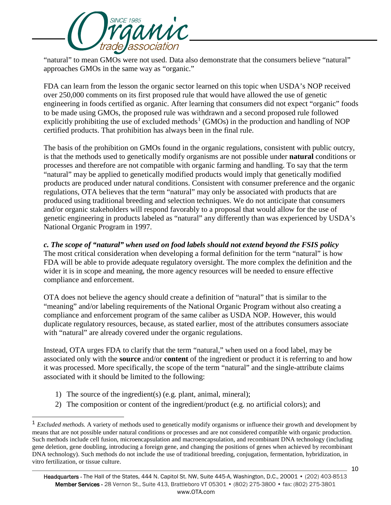

"natural" to mean GMOs were not used. Data also demonstrate that the consumers believe "natural" approaches GMOs in the same way as "organic."

FDA can learn from the lesson the organic sector learned on this topic when USDA's NOP received over 250,000 comments on its first proposed rule that would have allowed the use of genetic engineering in foods certified as organic. After learning that consumers did not expect "organic" foods to be made using GMOs, the proposed rule was withdrawn and a second proposed rule followed explicitly prohibiting the use of excluded methods<sup>[1](#page-9-0)</sup> (GMOs) in the production and handling of NOP certified products. That prohibition has always been in the final rule.

The basis of the prohibition on GMOs found in the organic regulations, consistent with public outcry, is that the methods used to genetically modify organisms are not possible under **natural** conditions or processes and therefore are not compatible with organic farming and handling. To say that the term "natural" may be applied to genetically modified products would imply that genetically modified products are produced under natural conditions. Consistent with consumer preference and the organic regulations, OTA believes that the term "natural" may only be associated with products that are produced using traditional breeding and selection techniques. We do not anticipate that consumers and/or organic stakeholders will respond favorably to a proposal that would allow for the use of genetic engineering in products labeled as "natural" any differently than was experienced by USDA's National Organic Program in 1997.

*c. The scope of "natural" when used on food labels should not extend beyond the FSIS policy* The most critical consideration when developing a formal definition for the term "natural" is how FDA will be able to provide adequate regulatory oversight. The more complex the definition and the wider it is in scope and meaning, the more agency resources will be needed to ensure effective compliance and enforcement.

OTA does not believe the agency should create a definition of "natural" that is similar to the "meaning" and/or labeling requirements of the National Organic Program without also creating a compliance and enforcement program of the same caliber as USDA NOP. However, this would duplicate regulatory resources, because, as stated earlier, most of the attributes consumers associate with "natural" are already covered under the organic regulations.

Instead, OTA urges FDA to clarify that the term "natural," when used on a food label, may be associated only with the **source** and/or **content** of the ingredient or product it is referring to and how it was processed. More specifically, the scope of the term "natural" and the single-attribute claims associated with it should be limited to the following:

- 1) The source of the ingredient(s) (e.g. plant, animal, mineral);
- 2) The composition or content of the ingredient/product (e.g. no artificial colors); and

<span id="page-9-0"></span><sup>&</sup>lt;sup>1</sup> *Excluded methods*. A variety of methods used to genetically modify organisms or influence their growth and development by means that are not possible under natural conditions or processes and are not considered compatible with organic production. Such methods include cell fusion, microencapsulation and macroencapsulation, and recombinant DNA technology (including gene deletion, gene doubling, introducing a foreign gene, and changing the positions of genes when achieved by recombinant DNA technology). Such methods do not include the use of traditional breeding, conjugation, fermentation, hybridization, in vitro fertilization, or tissue culture.

Headquarters - The Hall of the States, 444 N. Capitol St. NW, Suite 445-A, Washington, D.C., 20001 • (202) 403-8513 Member Services - 28 Vernon St., Suite 413, Brattleboro VT 05301 • (802) 275-3800 • fax: (802) 275-3801 www.OTA.com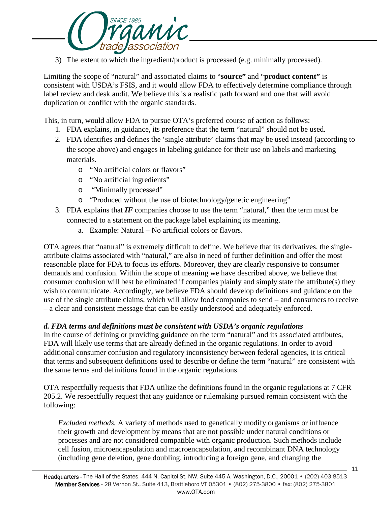

3) The extent to which the ingredient/product is processed (e.g. minimally processed).

Limiting the scope of "natural" and associated claims to "**source"** and "**product content"** is consistent with USDA's FSIS, and it would allow FDA to effectively determine compliance through label review and desk audit. We believe this is a realistic path forward and one that will avoid duplication or conflict with the organic standards.

This, in turn, would allow FDA to pursue OTA's preferred course of action as follows:

- 1. FDA explains, in guidance, its preference that the term "natural" should not be used.
- 2. FDA identifies and defines the 'single attribute' claims that may be used instead (according to the scope above) and engages in labeling guidance for their use on labels and marketing materials.
	- o "No artificial colors or flavors"
	- o "No artificial ingredients"
	- o "Minimally processed"
	- o "Produced without the use of biotechnology/genetic engineering"
- 3. FDA explains that *IF* companies choose to use the term "natural," then the term must be connected to a statement on the package label explaining its meaning.
	- a. Example: Natural No artificial colors or flavors.

OTA agrees that "natural" is extremely difficult to define. We believe that its derivatives, the singleattribute claims associated with "natural," are also in need of further definition and offer the most reasonable place for FDA to focus its efforts. Moreover, they are clearly responsive to consumer demands and confusion. Within the scope of meaning we have described above, we believe that consumer confusion will best be eliminated if companies plainly and simply state the attribute(s) they wish to communicate. Accordingly, we believe FDA should develop definitions and guidance on the use of the single attribute claims, which will allow food companies to send – and consumers to receive – a clear and consistent message that can be easily understood and adequately enforced.

## *d. FDA terms and definitions must be consistent with USDA's organic regulations*

In the course of defining or providing guidance on the term "natural" and its associated attributes, FDA will likely use terms that are already defined in the organic regulations. In order to avoid additional consumer confusion and regulatory inconsistency between federal agencies, it is critical that terms and subsequent definitions used to describe or define the term "natural" are consistent with the same terms and definitions found in the organic regulations.

OTA respectfully requests that FDA utilize the definitions found in the organic regulations at 7 CFR 205.2. We respectfully request that any guidance or rulemaking pursued remain consistent with the following:

*Excluded methods.* A variety of methods used to genetically modify organisms or influence their growth and development by means that are not possible under natural conditions or processes and are not considered compatible with organic production. Such methods include cell fusion, microencapsulation and macroencapsulation, and recombinant DNA technology (including gene deletion, gene doubling, introducing a foreign gene, and changing the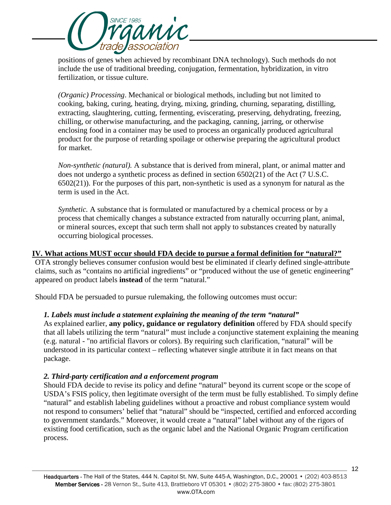

positions of genes when achieved by recombinant DNA technology). Such methods do not include the use of traditional breeding, conjugation, fermentation, hybridization, in vitro fertilization, or tissue culture.

*(Organic) Processing*. Mechanical or biological methods, including but not limited to cooking, baking, curing, heating, drying, mixing, grinding, churning, separating, distilling, extracting, slaughtering, cutting, fermenting, eviscerating, preserving, dehydrating, freezing, chilling, or otherwise manufacturing, and the packaging, canning, jarring, or otherwise enclosing food in a container may be used to process an organically produced agricultural product for the purpose of retarding spoilage or otherwise preparing the agricultural product for market.

*Non-synthetic (natural).* A substance that is derived from mineral, plant, or animal matter and does not undergo a synthetic process as defined in section 6502(21) of the Act (7 U.S.C. 6502(21)). For the purposes of this part, non-synthetic is used as a synonym for natural as the term is used in the Act.

*Synthetic.* A substance that is formulated or manufactured by a chemical process or by a process that chemically changes a substance extracted from naturally occurring plant, animal, or mineral sources, except that such term shall not apply to substances created by naturally occurring biological processes.

## **IV. What actions MUST occur should FDA decide to pursue a formal definition for "natural?"**

OTA strongly believes consumer confusion would best be eliminated if clearly defined single-attribute claims, such as "contains no artificial ingredients" or "produced without the use of genetic engineering" appeared on product labels **instead** of the term "natural."

Should FDA be persuaded to pursue rulemaking, the following outcomes must occur:

## *1. Labels must include a statement explaining the meaning of the term "natural"*

As explained earlier, **any policy, guidance or regulatory definition** offered by FDA should specify that all labels utilizing the term "natural" must include a conjunctive statement explaining the meaning (e.g. natural - "no artificial flavors or colors). By requiring such clarification, "natural" will be understood in its particular context – reflecting whatever single attribute it in fact means on that package.

## *2. Third-party certification and a enforcement program*

Should FDA decide to revise its policy and define "natural" beyond its current scope or the scope of USDA's FSIS policy, then legitimate oversight of the term must be fully established. To simply define "natural" and establish labeling guidelines without a proactive and robust compliance system would not respond to consumers' belief that "natural" should be "inspected, certified and enforced according to government standards." Moreover, it would create a "natural" label without any of the rigors of existing food certification, such as the organic label and the National Organic Program certification process.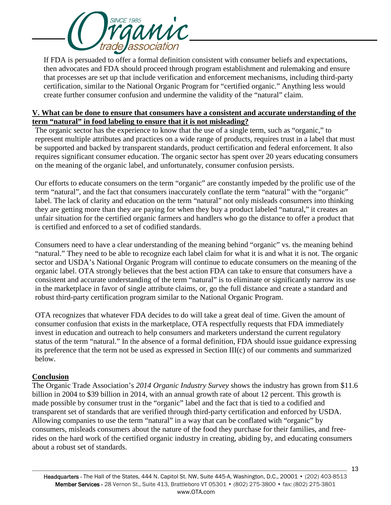

If FDA is persuaded to offer a formal definition consistent with consumer beliefs and expectations, then advocates and FDA should proceed through program establishment and rulemaking and ensure that processes are set up that include verification and enforcement mechanisms, including third-party certification, similar to the National Organic Program for "certified organic." Anything less would create further consumer confusion and undermine the validity of the "natural" claim.

## **V. What can be done to ensure that consumers have a consistent and accurate understanding of the term "natural" in food labeling to ensure that it is not misleading?**

The organic sector has the experience to know that the use of a single term, such as "organic," to represent multiple attributes and practices on a wide range of products, requires trust in a label that must be supported and backed by transparent standards, product certification and federal enforcement. It also requires significant consumer education. The organic sector has spent over 20 years educating consumers on the meaning of the organic label, and unfortunately, consumer confusion persists.

Our efforts to educate consumers on the term "organic" are constantly impeded by the prolific use of the term "natural", and the fact that consumers inaccurately conflate the term "natural" with the "organic" label. The lack of clarity and education on the term "natural" not only misleads consumers into thinking they are getting more than they are paying for when they buy a product labeled "natural," it creates an unfair situation for the certified organic farmers and handlers who go the distance to offer a product that is certified and enforced to a set of codified standards.

Consumers need to have a clear understanding of the meaning behind "organic" vs. the meaning behind "natural." They need to be able to recognize each label claim for what it is and what it is not. The organic sector and USDA's National Organic Program will continue to educate consumers on the meaning of the organic label. OTA strongly believes that the best action FDA can take to ensure that consumers have a consistent and accurate understanding of the term "natural" is to eliminate or significantly narrow its use in the marketplace in favor of single attribute claims, or, go the full distance and create a standard and robust third-party certification program similar to the National Organic Program.

OTA recognizes that whatever FDA decides to do will take a great deal of time. Given the amount of consumer confusion that exists in the marketplace, OTA respectfully requests that FDA immediately invest in education and outreach to help consumers and marketers understand the current regulatory status of the term "natural." In the absence of a formal definition, FDA should issue guidance expressing its preference that the term not be used as expressed in Section III(c) of our comments and summarized below.

## **Conclusion**

The Organic Trade Association's *2014 Organic Industry Survey* shows the industry has grown from \$11.6 billion in 2004 to \$39 billion in 2014, with an annual growth rate of about 12 percent. This growth is made possible by consumer trust in the "organic" label and the fact that is tied to a codified and transparent set of standards that are verified through third-party certification and enforced by USDA. Allowing companies to use the term "natural" in a way that can be conflated with "organic" by consumers, misleads consumers about the nature of the food they purchase for their families, and freerides on the hard work of the certified organic industry in creating, abiding by, and educating consumers about a robust set of standards.